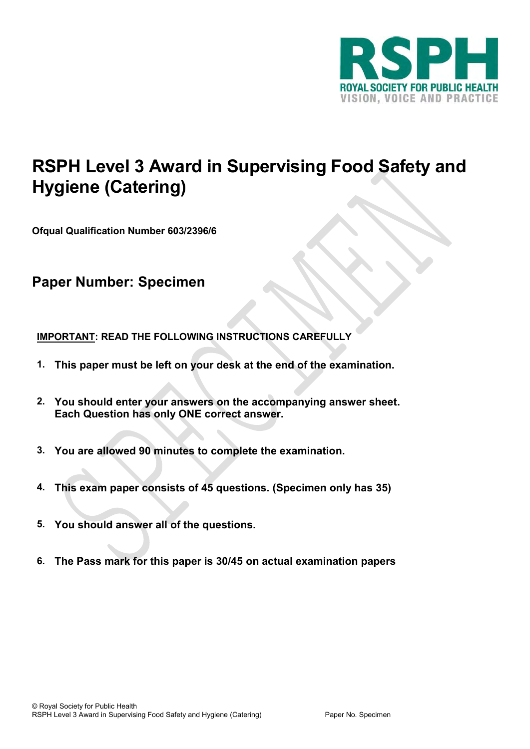

# **RSPH Level 3 Award in Supervising Food Safety and Hygiene (Catering)**

**Ofqual Qualification Number 603/2396/6**

# **Paper Number: Specimen**

# **IMPORTANT: READ THE FOLLOWING INSTRUCTIONS CAREFULLY**

- **1. This paper must be left on your desk at the end of the examination.**
- **2. You should enter your answers on the accompanying answer sheet. Each Question has only ONE correct answer.**
- **3. You are allowed 90 minutes to complete the examination.**
- **4. This exam paper consists of 45 questions. (Specimen only has 35)**
- **5. You should answer all of the questions.**
- **6. The Pass mark for this paper is 30/45 on actual examination papers**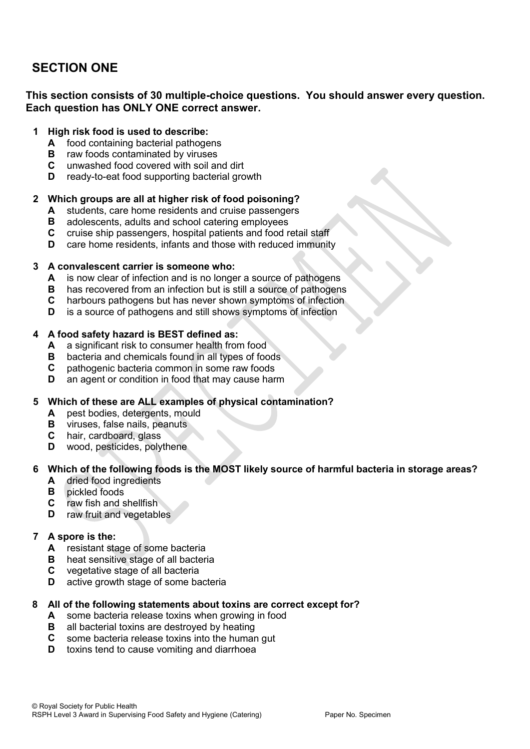# **SECTION ONE**

# **This section consists of 30 multiple-choice questions. You should answer every question. Each question has ONLY ONE correct answer.**

### **1 High risk food is used to describe:**

- **A** food containing bacterial pathogens
- **B** raw foods contaminated by viruses
- **C** unwashed food covered with soil and dirt
- **D** ready-to-eat food supporting bacterial growth

# **2 Which groups are all at higher risk of food poisoning?**

- **A** students, care home residents and cruise passengers
- **B** adolescents, adults and school catering employees
- **C** cruise ship passengers, hospital patients and food retail staff
- **D** care home residents, infants and those with reduced immunity

#### **3 A convalescent carrier is someone who:**

- **A** is now clear of infection and is no longer a source of pathogens
- **B** has recovered from an infection but is still a source of pathogens
- **C** harbours pathogens but has never shown symptoms of infection
- **D** is a source of pathogens and still shows symptoms of infection

#### **4 A food safety hazard is BEST defined as:**

- **A** a significant risk to consumer health from food
- **B** bacteria and chemicals found in all types of foods
- **C** pathogenic bacteria common in some raw foods
- **D** an agent or condition in food that may cause harm

# **5 Which of these are ALL examples of physical contamination?**

- **A** pest bodies, detergents, mould
- **B** viruses, false nails, peanuts
- **C** hair, cardboard, glass
- **D** wood, pesticides, polythene

# **6 Which of the following foods is the MOST likely source of harmful bacteria in storage areas?**

- **A** dried food ingredients
- **B** pickled foods
- **C** raw fish and shellfish
- **D** raw fruit and vegetables

#### **7 A spore is the:**

- **A** resistant stage of some bacteria
- **B** heat sensitive stage of all bacteria
- **C** vegetative stage of all bacteria
- **D** active growth stage of some bacteria

#### **8 All of the following statements about toxins are correct except for?**

- **A** some bacteria release toxins when growing in food
- **B** all bacterial toxins are destroyed by heating
- **C** some bacteria release toxins into the human gut
- **D** toxins tend to cause vomiting and diarrhoea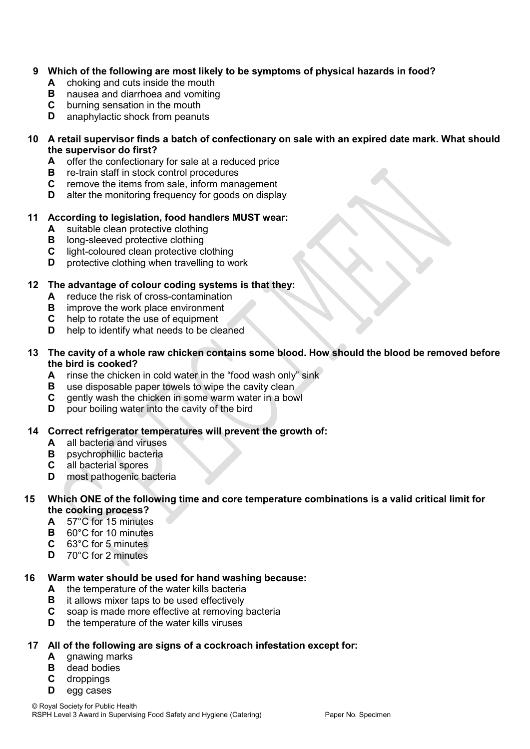# **9 Which of the following are most likely to be symptoms of physical hazards in food?**

- **A** choking and cuts inside the mouth
- **B** nausea and diarrhoea and vomiting
- **C** burning sensation in the mouth
- **D** anaphylactic shock from peanuts

### **10 A retail supervisor finds a batch of confectionary on sale with an expired date mark. What should the supervisor do first?**

- **A** offer the confectionary for sale at a reduced price
- **B** re-train staff in stock control procedures
- **C** remove the items from sale, inform management
- **D** alter the monitoring frequency for goods on display

# **11 According to legislation, food handlers MUST wear:**

- **A** suitable clean protective clothing
- **B** long-sleeved protective clothing
- **C** light-coloured clean protective clothing
- **D** protective clothing when travelling to work

# **12 The advantage of colour coding systems is that they:**

- **A** reduce the risk of cross-contamination
- **B** improve the work place environment
- **C** help to rotate the use of equipment
- **D** help to identify what needs to be cleaned

### **13 The cavity of a whole raw chicken contains some blood. How should the blood be removed before the bird is cooked?**

- **A** rinse the chicken in cold water in the "food wash only" sink
- **B** use disposable paper towels to wipe the cavity clean
- **C** gently wash the chicken in some warm water in a bowl
- **D** pour boiling water into the cavity of the bird

# **14 Correct refrigerator temperatures will prevent the growth of:**

- **A** all bacteria and viruses
- **B** psychrophillic bacteria
- **C** all bacterial spores
- **D** most pathogenic bacteria

# **15 Which ONE of the following time and core temperature combinations is a valid critical limit for the cooking process?**

- **A** 57°C for 15 minutes
- **B** 60°C for 10 minutes
- **C** 63°C for 5 minutes
- **D** 70°C for 2 minutes

#### **16 Warm water should be used for hand washing because:**

- **A** the temperature of the water kills bacteria
- **B** it allows mixer taps to be used effectively
- **C** soap is made more effective at removing bacteria
- **D** the temperature of the water kills viruses

#### **17 All of the following are signs of a cockroach infestation except for:**

- **A** gnawing marks
- **B** dead bodies
- **C** droppings
- **D** egg cases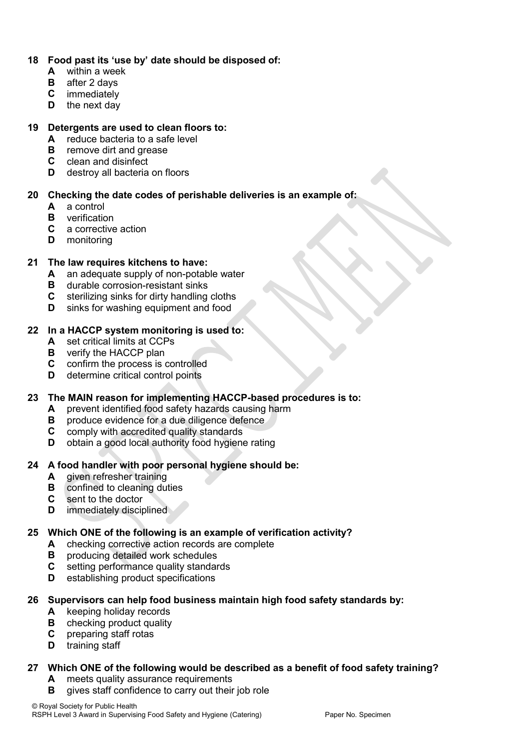# **18 Food past its 'use by' date should be disposed of:**

- **A** within a week
- **B** after 2 days
- **C** immediately
- **D** the next day

# **19 Detergents are used to clean floors to:**

- **A** reduce bacteria to a safe level
- **B** remove dirt and grease
- **C** clean and disinfect
- **D** destroy all bacteria on floors

# **20 Checking the date codes of perishable deliveries is an example of:**

- **A** a control
- **B** verification
- **C** a corrective action
- **D** monitoring

# **21 The law requires kitchens to have:**

- **A** an adequate supply of non-potable water
- **B** durable corrosion-resistant sinks
- **C** sterilizing sinks for dirty handling cloths
- **D** sinks for washing equipment and food

# **22 In a HACCP system monitoring is used to:**

- **A** set critical limits at CCPs
- **B** verify the HACCP plan
- **C** confirm the process is controlled
- **D** determine critical control points

# **23 The MAIN reason for implementing HACCP-based procedures is to:**

- **A** prevent identified food safety hazards causing harm
- **B** produce evidence for a due diligence defence
- **C** comply with accredited quality standards
- **D** obtain a good local authority food hygiene rating

# **24 A food handler with poor personal hygiene should be:**

- **A** given refresher training
- **B** confined to cleaning duties
- **C** sent to the doctor
- **D** immediately disciplined

# **25 Which ONE of the following is an example of verification activity?**

- **A** checking corrective action records are complete
- **B** producing detailed work schedules
- **C** setting performance quality standards
- **D** establishing product specifications

#### **26 Supervisors can help food business maintain high food safety standards by:**

- **A** keeping holiday records
- **B** checking product quality
- **C** preparing staff rotas
- **D** training staff

# **27 Which ONE of the following would be described as a benefit of food safety training?**

- **A** meets quality assurance requirements
- **B** gives staff confidence to carry out their job role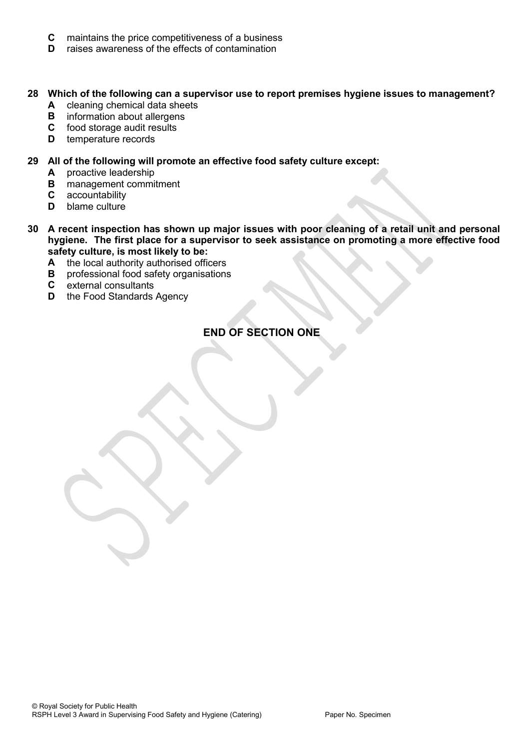- **C** maintains the price competitiveness of a business
- **D** raises awareness of the effects of contamination

# **28 Which of the following can a supervisor use to report premises hygiene issues to management?**

- **A** cleaning chemical data sheets
- **B** information about allergens
- **C** food storage audit results
- **D** temperature records

### **29 All of the following will promote an effective food safety culture except:**

- **A** proactive leadership
- **B** management commitment
- **C** accountability
- **D** blame culture
- **30 A recent inspection has shown up major issues with poor cleaning of a retail unit and personal hygiene. The first place for a supervisor to seek assistance on promoting a more effective food safety culture, is most likely to be:**
	- **A** the local authority authorised officers
	- **B** professional food safety organisations
	- **C** external consultants
	- **D** the Food Standards Agency

# **END OF SECTION ONE**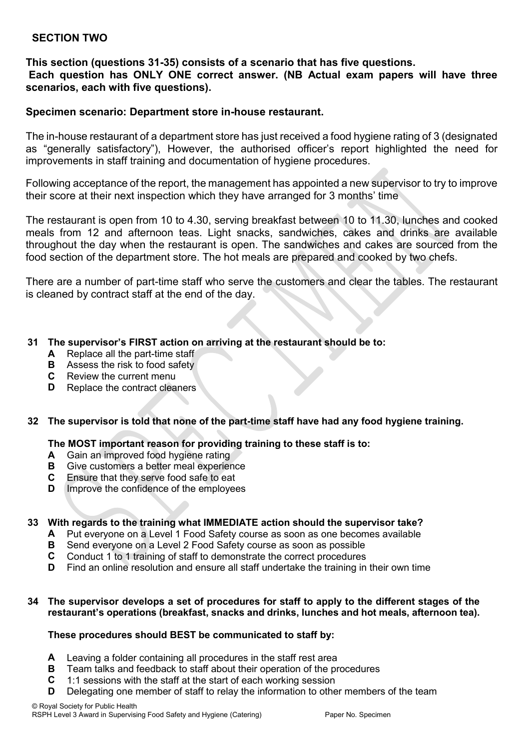# **SECTION TWO**

# **This section (questions 31-35) consists of a scenario that has five questions. Each question has ONLY ONE correct answer. (NB Actual exam papers will have three scenarios, each with five questions).**

# **Specimen scenario: Department store in-house restaurant.**

The in-house restaurant of a department store has just received a food hygiene rating of 3 (designated as "generally satisfactory"), However, the authorised officer's report highlighted the need for improvements in staff training and documentation of hygiene procedures.

Following acceptance of the report, the management has appointed a new supervisor to try to improve their score at their next inspection which they have arranged for 3 months' time

The restaurant is open from 10 to 4.30, serving breakfast between 10 to 11.30, lunches and cooked meals from 12 and afternoon teas. Light snacks, sandwiches, cakes and drinks are available throughout the day when the restaurant is open. The sandwiches and cakes are sourced from the food section of the department store. The hot meals are prepared and cooked by two chefs.

There are a number of part-time staff who serve the customers and clear the tables. The restaurant is cleaned by contract staff at the end of the day.

#### **31 The supervisor's FIRST action on arriving at the restaurant should be to:**

- **A** Replace all the part-time staff
- **B** Assess the risk to food safety
- **C** Review the current menu
- **D** Replace the contract cleaners

#### **32 The supervisor is told that none of the part-time staff have had any food hygiene training.**

#### **The MOST important reason for providing training to these staff is to:**

- **A** Gain an improved food hygiene rating
- **B** Give customers a better meal experience
- **C** Ensure that they serve food safe to eat
- **D** Improve the confidence of the employees

#### **33 With regards to the training what IMMEDIATE action should the supervisor take?**

- **A** Put everyone on a Level 1 Food Safety course as soon as one becomes available
- **B** Send everyone on a Level 2 Food Safety course as soon as possible
- **C** Conduct 1 to 1 training of staff to demonstrate the correct procedures
- **D** Find an online resolution and ensure all staff undertake the training in their own time

#### **34 The supervisor develops a set of procedures for staff to apply to the different stages of the restaurant's operations (breakfast, snacks and drinks, lunches and hot meals, afternoon tea).**

#### **These procedures should BEST be communicated to staff by:**

- **A** Leaving a folder containing all procedures in the staff rest area
- **B** Team talks and feedback to staff about their operation of the procedures
- **C** 1:1 sessions with the staff at the start of each working session
- **D** Delegating one member of staff to relay the information to other members of the team